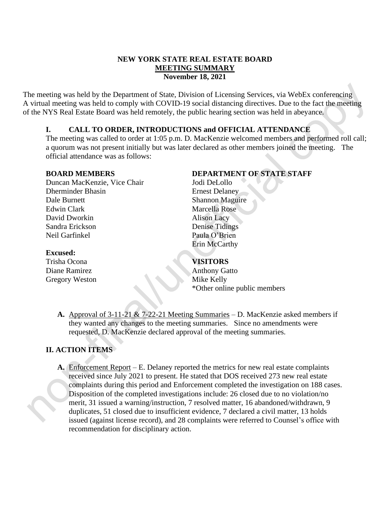## **NEW YORK STATE REAL ESTATE BOARD MEETING SUMMARY November 18, 2021**

The meeting was held by the Department of State, Division of Licensing Services, via WebEx conferencing A virtual meeting was held to comply with COVID-19 social distancing directives. Due to the fact the meeting of the NYS Real Estate Board was held remotely, the public hearing section was held in abeyance.

## **I. CALL TO ORDER, INTRODUCTIONS and OFFICIAL ATTENDANCE**

The meeting was called to order at 1:05 p.m. D. MacKenzie welcomed members and performed roll call; a quorum was not present initially but was later declared as other members joined the meeting. The official attendance was as follows:

#### **BOARD MEMBERS**

Duncan MacKenzie, Vice Chair Dherminder Bhasin Dale Burnett Edwin Clark David Dworkin Sandra Erickson Neil Garfinkel

### **Excused:**

Trisha Ocona Diane Ramirez Gregory Weston

# **DEPARTMENT OF STATE STAFF**

Jodi DeLollo Ernest Delaney Shannon Maguire Marcella Rose Alison Lacy Denise Tidings Paula O'Brien Erin McCarthy

## **VISITORS**

Anthony Gatto Mike Kelly \*Other online public members

**A.** Approval of 3-11-21 & 7-22-21 Meeting Summaries – D. MacKenzie asked members if they wanted any changes to the meeting summaries. Since no amendments were requested, D. MacKenzie declared approval of the meeting summaries.

# **II. ACTION ITEMS**

**A.** Enforcement Report – E. Delaney reported the metrics for new real estate complaints received since July 2021 to present. He stated that DOS received 273 new real estate complaints during this period and Enforcement completed the investigation on 188 cases. Disposition of the completed investigations include: 26 closed due to no violation/no merit, 31 issued a warning/instruction, 7 resolved matter, 16 abandoned/withdrawn, 9 duplicates, 51 closed due to insufficient evidence, 7 declared a civil matter, 13 holds issued (against license record), and 28 complaints were referred to Counsel's office with recommendation for disciplinary action.